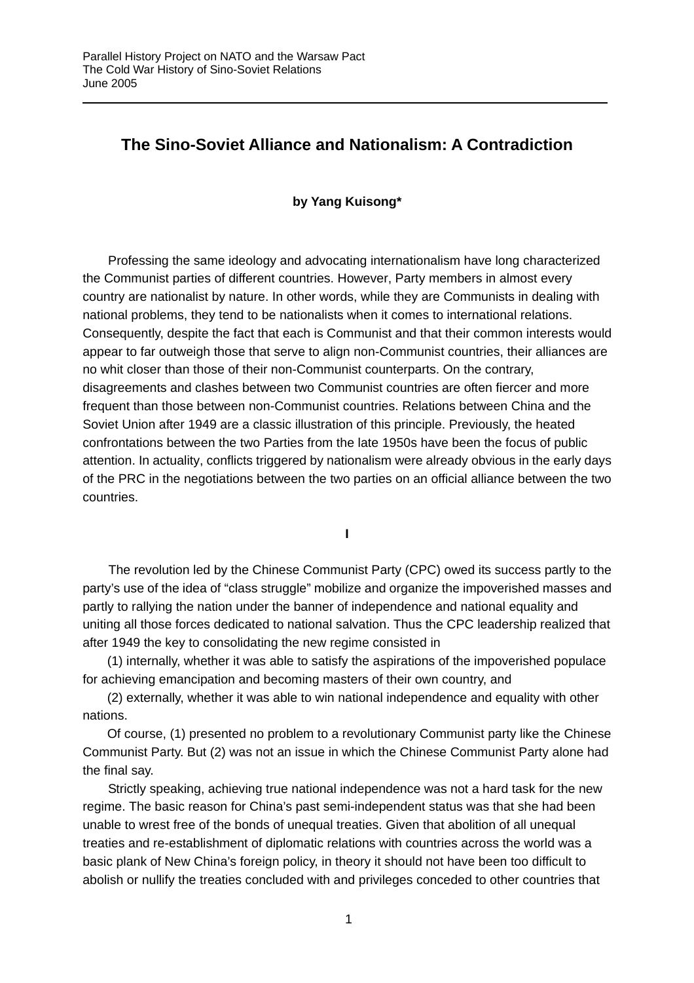## **The Sino-Soviet Alliance and Nationalism: A Contradiction**

## **by Yang Kuisong\***

Professing the same ideology and advocating internationalism have long characterized the Communist parties of different countries. However, Party members in almost every country are nationalist by nature. In other words, while they are Communists in dealing with national problems, they tend to be nationalists when it comes to international relations. Consequently, despite the fact that each is Communist and that their common interests would appear to far outweigh those that serve to align non-Communist countries, their alliances are no whit closer than those of their non-Communist counterparts. On the contrary, disagreements and clashes between two Communist countries are often fiercer and more frequent than those between non-Communist countries. Relations between China and the Soviet Union after 1949 are a classic illustration of this principle. Previously, the heated confrontations between the two Parties from the late 1950s have been the focus of public attention. In actuality, conflicts triggered by nationalism were already obvious in the early days of the PRC in the negotiations between the two parties on an official alliance between the two countries.

**I** 

The revolution led by the Chinese Communist Party (CPC) owed its success partly to the party's use of the idea of "class struggle" mobilize and organize the impoverished masses and partly to rallying the nation under the banner of independence and national equality and uniting all those forces dedicated to national salvation. Thus the CPC leadership realized that after 1949 the key to consolidating the new regime consisted in

(1) internally, whether it was able to satisfy the aspirations of the impoverished populace for achieving emancipation and becoming masters of their own country, and

(2) externally, whether it was able to win national independence and equality with other nations.

Of course, (1) presented no problem to a revolutionary Communist party like the Chinese Communist Party. But (2) was not an issue in which the Chinese Communist Party alone had the final say.

Strictly speaking, achieving true national independence was not a hard task for the new regime. The basic reason for China's past semi-independent status was that she had been unable to wrest free of the bonds of unequal treaties. Given that abolition of all unequal treaties and re-establishment of diplomatic relations with countries across the world was a basic plank of New China's foreign policy, in theory it should not have been too difficult to abolish or nullify the treaties concluded with and privileges conceded to other countries that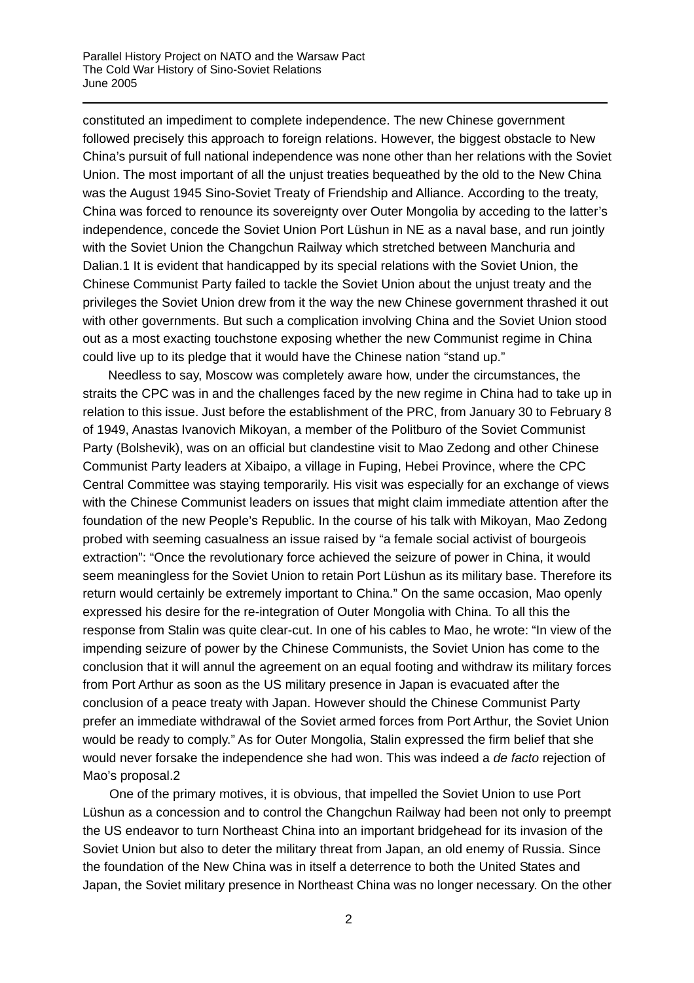constituted an impediment to complete independence. The new Chinese government followed precisely this approach to foreign relations. However, the biggest obstacle to New China's pursuit of full national independence was none other than her relations with the Soviet Union. The most important of all the unjust treaties bequeathed by the old to the New China was the August 1945 Sino-Soviet Treaty of Friendship and Alliance. According to the treaty, China was forced to renounce its sovereignty over Outer Mongolia by acceding to the latter's independence, concede the Soviet Union Port Lüshun in NE as a naval base, and run jointly with the Soviet Union the Changchun Railway which stretched between Manchuria and Dalian.[1](#page-11-0) It is evident that handicapped by its special relations with the Soviet Union, the Chinese Communist Party failed to tackle the Soviet Union about the unjust treaty and the privileges the Soviet Union drew from it the way the new Chinese government thrashed it out with other governments. But such a complication involving China and the Soviet Union stood out as a most exacting touchstone exposing whether the new Communist regime in China could live up to its pledge that it would have the Chinese nation "stand up."

Needless to say, Moscow was completely aware how, under the circumstances, the straits the CPC was in and the challenges faced by the new regime in China had to take up in relation to this issue. Just before the establishment of the PRC, from January 30 to February 8 of 1949, Anastas Ivanovich Mikoyan, a member of the Politburo of the Soviet Communist Party (Bolshevik), was on an official but clandestine visit to Mao Zedong and other Chinese Communist Party leaders at Xibaipo, a village in Fuping, Hebei Province, where the CPC Central Committee was staying temporarily. His visit was especially for an exchange of views with the Chinese Communist leaders on issues that might claim immediate attention after the foundation of the new People's Republic. In the course of his talk with Mikoyan, Mao Zedong probed with seeming casualness an issue raised by "a female social activist of bourgeois extraction": "Once the revolutionary force achieved the seizure of power in China, it would seem meaningless for the Soviet Union to retain Port Lüshun as its military base. Therefore its return would certainly be extremely important to China." On the same occasion, Mao openly expressed his desire for the re-integration of Outer Mongolia with China. To all this the response from Stalin was quite clear-cut. In one of his cables to Mao, he wrote: "In view of the impending seizure of power by the Chinese Communists, the Soviet Union has come to the conclusion that it will annul the agreement on an equal footing and withdraw its military forces from Port Arthur as soon as the US military presence in Japan is evacuated after the conclusion of a peace treaty with Japan. However should the Chinese Communist Party prefer an immediate withdrawal of the Soviet armed forces from Port Arthur, the Soviet Union would be ready to comply." As for Outer Mongolia, Stalin expressed the firm belief that she would never forsake the independence she had won. This was indeed a *de facto* rejection of Mao's proposal.[2](#page-11-1)

One of the primary motives, it is obvious, that impelled the Soviet Union to use Port Lüshun as a concession and to control the Changchun Railway had been not only to preempt the US endeavor to turn Northeast China into an important bridgehead for its invasion of the Soviet Union but also to deter the military threat from Japan, an old enemy of Russia. Since the foundation of the New China was in itself a deterrence to both the United States and Japan, the Soviet military presence in Northeast China was no longer necessary. On the other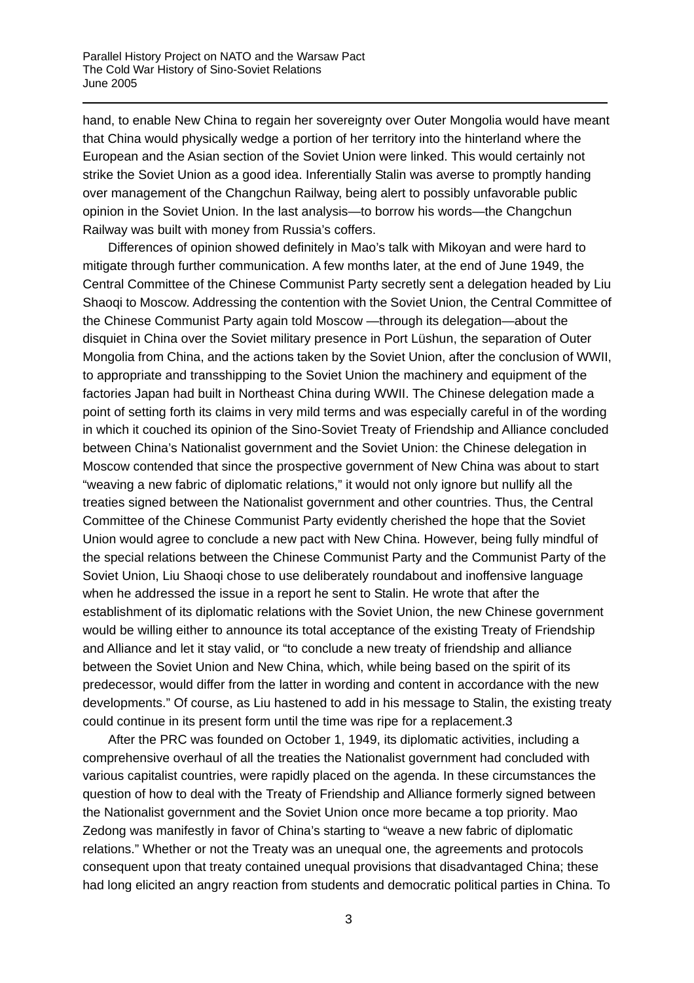hand, to enable New China to regain her sovereignty over Outer Mongolia would have meant that China would physically wedge a portion of her territory into the hinterland where the European and the Asian section of the Soviet Union were linked. This would certainly not strike the Soviet Union as a good idea. Inferentially Stalin was averse to promptly handing over management of the Changchun Railway, being alert to possibly unfavorable public opinion in the Soviet Union. In the last analysis—to borrow his words—the Changchun Railway was built with money from Russia's coffers.

Differences of opinion showed definitely in Mao's talk with Mikoyan and were hard to mitigate through further communication. A few months later, at the end of June 1949, the Central Committee of the Chinese Communist Party secretly sent a delegation headed by Liu Shaoqi to Moscow. Addressing the contention with the Soviet Union, the Central Committee of the Chinese Communist Party again told Moscow —through its delegation—about the disquiet in China over the Soviet military presence in Port Lüshun, the separation of Outer Mongolia from China, and the actions taken by the Soviet Union, after the conclusion of WWII, to appropriate and transshipping to the Soviet Union the machinery and equipment of the factories Japan had built in Northeast China during WWII. The Chinese delegation made a point of setting forth its claims in very mild terms and was especially careful in of the wording in which it couched its opinion of the Sino-Soviet Treaty of Friendship and Alliance concluded between China's Nationalist government and the Soviet Union: the Chinese delegation in Moscow contended that since the prospective government of New China was about to start "weaving a new fabric of diplomatic relations," it would not only ignore but nullify all the treaties signed between the Nationalist government and other countries. Thus, the Central Committee of the Chinese Communist Party evidently cherished the hope that the Soviet Union would agree to conclude a new pact with New China. However, being fully mindful of the special relations between the Chinese Communist Party and the Communist Party of the Soviet Union, Liu Shaoqi chose to use deliberately roundabout and inoffensive language when he addressed the issue in a report he sent to Stalin. He wrote that after the establishment of its diplomatic relations with the Soviet Union, the new Chinese government would be willing either to announce its total acceptance of the existing Treaty of Friendship and Alliance and let it stay valid, or "to conclude a new treaty of friendship and alliance between the Soviet Union and New China, which, while being based on the spirit of its predecessor, would differ from the latter in wording and content in accordance with the new developments." Of course, as Liu hastened to add in his message to Stalin, the existing treaty could continue in its present form until the time was ripe for a replacement.[3](#page-11-2) 

After the PRC was founded on October 1, 1949, its diplomatic activities, including a comprehensive overhaul of all the treaties the Nationalist government had concluded with various capitalist countries, were rapidly placed on the agenda. In these circumstances the question of how to deal with the Treaty of Friendship and Alliance formerly signed between the Nationalist government and the Soviet Union once more became a top priority. Mao Zedong was manifestly in favor of China's starting to "weave a new fabric of diplomatic relations." Whether or not the Treaty was an unequal one, the agreements and protocols consequent upon that treaty contained unequal provisions that disadvantaged China; these had long elicited an angry reaction from students and democratic political parties in China. To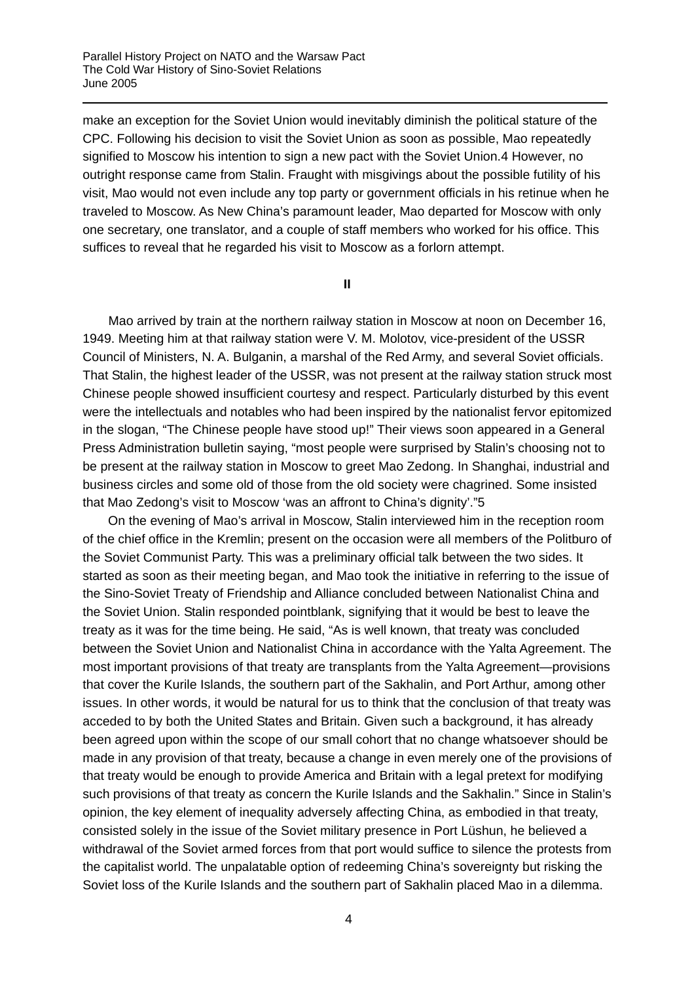make an exception for the Soviet Union would inevitably diminish the political stature of the CPC. Following his decision to visit the Soviet Union as soon as possible, Mao repeatedly signified to Moscow his intention to sign a new pact with the Soviet Union.[4 H](#page-11-3)owever, no outright response came from Stalin. Fraught with misgivings about the possible futility of his visit, Mao would not even include any top party or government officials in his retinue when he traveled to Moscow. As New China's paramount leader, Mao departed for Moscow with only one secretary, one translator, and a couple of staff members who worked for his office. This suffices to reveal that he regarded his visit to Moscow as a forlorn attempt.

**II** 

Mao arrived by train at the northern railway station in Moscow at noon on December 16, 1949. Meeting him at that railway station were V. M. Molotov, vice-president of the USSR Council of Ministers, N. A. Bulganin, a marshal of the Red Army, and several Soviet officials. That Stalin, the highest leader of the USSR, was not present at the railway station struck most Chinese people showed insufficient courtesy and respect. Particularly disturbed by this event were the intellectuals and notables who had been inspired by the nationalist fervor epitomized in the slogan, "The Chinese people have stood up!" Their views soon appeared in a General Press Administration bulletin saying, "most people were surprised by Stalin's choosing not to be present at the railway station in Moscow to greet Mao Zedong. In Shanghai, industrial and business circles and some old of those from the old society were chagrined. Some insisted that Mao Zedong's visit to Moscow 'was an affront to China's dignity'."[5](#page-11-4) 

On the evening of Mao's arrival in Moscow, Stalin interviewed him in the reception room of the chief office in the Kremlin; present on the occasion were all members of the Politburo of the Soviet Communist Party. This was a preliminary official talk between the two sides. It started as soon as their meeting began, and Mao took the initiative in referring to the issue of the Sino-Soviet Treaty of Friendship and Alliance concluded between Nationalist China and the Soviet Union. Stalin responded pointblank, signifying that it would be best to leave the treaty as it was for the time being. He said, "As is well known, that treaty was concluded between the Soviet Union and Nationalist China in accordance with the Yalta Agreement. The most important provisions of that treaty are transplants from the Yalta Agreement—provisions that cover the Kurile Islands, the southern part of the Sakhalin, and Port Arthur, among other issues. In other words, it would be natural for us to think that the conclusion of that treaty was acceded to by both the United States and Britain. Given such a background, it has already been agreed upon within the scope of our small cohort that no change whatsoever should be made in any provision of that treaty, because a change in even merely one of the provisions of that treaty would be enough to provide America and Britain with a legal pretext for modifying such provisions of that treaty as concern the Kurile Islands and the Sakhalin." Since in Stalin's opinion, the key element of inequality adversely affecting China, as embodied in that treaty, consisted solely in the issue of the Soviet military presence in Port Lüshun, he believed a withdrawal of the Soviet armed forces from that port would suffice to silence the protests from the capitalist world. The unpalatable option of redeeming China's sovereignty but risking the Soviet loss of the Kurile Islands and the southern part of Sakhalin placed Mao in a dilemma.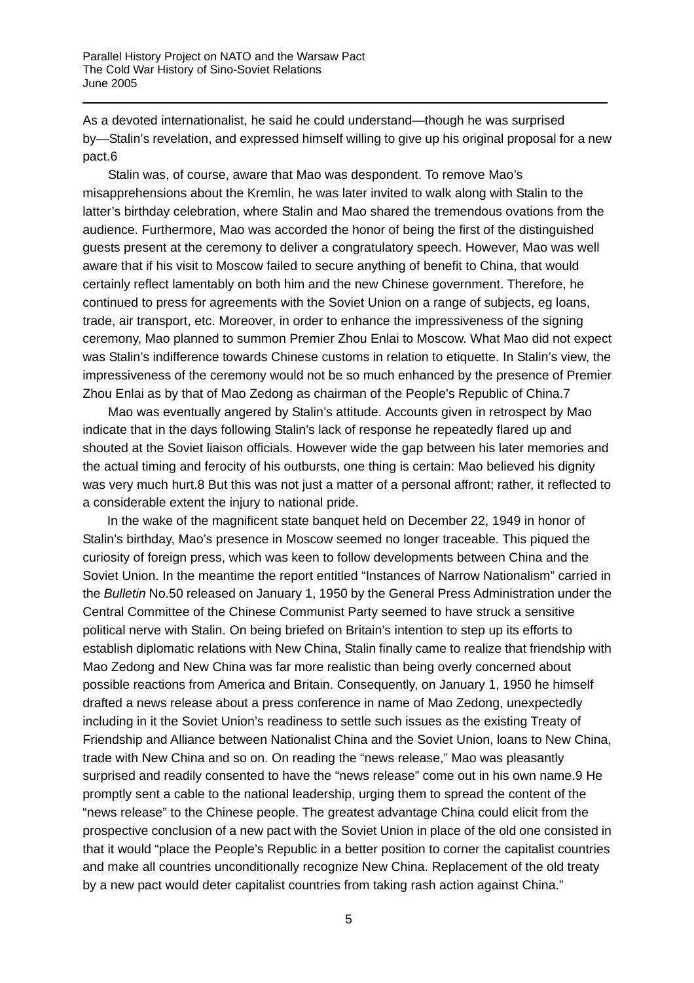As a devoted internationalist, he said he could understand—though he was surprised by—Stalin's revelation, and expressed himself willing to give up his original proposal for a new pact.[6](#page-11-3)

Stalin was, of course, aware that Mao was despondent. To remove Mao's misapprehensions about the Kremlin, he was later invited to walk along with Stalin to the latter's birthday celebration, where Stalin and Mao shared the tremendous ovations from the audience. Furthermore, Mao was accorded the honor of being the first of the distinguished guests present at the ceremony to deliver a congratulatory speech. However, Mao was well aware that if his visit to Moscow failed to secure anything of benefit to China, that would certainly reflect lamentably on both him and the new Chinese government. Therefore, he continued to press for agreements with the Soviet Union on a range of subjects, eg loans, trade, air transport, etc. Moreover, in order to enhance the impressiveness of the signing ceremony, Mao planned to summon Premier Zhou Enlai to Moscow. What Mao did not expect was Stalin's indifference towards Chinese customs in relation to etiquette. In Stalin's view, the impressiveness of the ceremony would not be so much enhanced by the presence of Premier Zhou Enlai as by that of Mao Zedong as chairman of the People's Republic of China.[7](#page-11-5)

Mao was eventually angered by Stalin's attitude. Accounts given in retrospect by Mao indicate that in the days following Stalin's lack of response he repeatedly flared up and shouted at the Soviet liaison officials. However wide the gap between his later memories and the actual timing and ferocity of his outbursts, one thing is certain: Mao believed his dignity was very much hurt.[8](#page-11-6) But this was not just a matter of a personal affront; rather, it reflected to a considerable extent the injury to national pride.

In the wake of the magnificent state banquet held on December 22, 1949 in honor of Stalin's birthday, Mao's presence in Moscow seemed no longer traceable. This piqued the curiosity of foreign press, which was keen to follow developments between China and the Soviet Union. In the meantime the report entitled "Instances of Narrow Nationalism" carried in the *Bulletin* No.50 released on January 1, 1950 by the General Press Administration under the Central Committee of the Chinese Communist Party seemed to have struck a sensitive political nerve with Stalin. On being briefed on Britain's intention to step up its efforts to establish diplomatic relations with New China, Stalin finally came to realize that friendship with Mao Zedong and New China was far more realistic than being overly concerned about possible reactions from America and Britain. Consequently, on January 1, 1950 he himself drafted a news release about a press conference in name of Mao Zedong, unexpectedly including in it the Soviet Union's readiness to settle such issues as the existing Treaty of Friendship and Alliance between Nationalist China and the Soviet Union, loans to New China, trade with New China and so on. On reading the "news release," Mao was pleasantly surprised and readily consented to have the "news release" come out in his own name.[9](#page-11-1) He promptly sent a cable to the national leadership, urging them to spread the content of the "news release" to the Chinese people. The greatest advantage China could elicit from the prospective conclusion of a new pact with the Soviet Union in place of the old one consisted in that it would "place the People's Republic in a better position to corner the capitalist countries and make all countries unconditionally recognize New China. Replacement of the old treaty by a new pact would deter capitalist countries from taking rash action against China."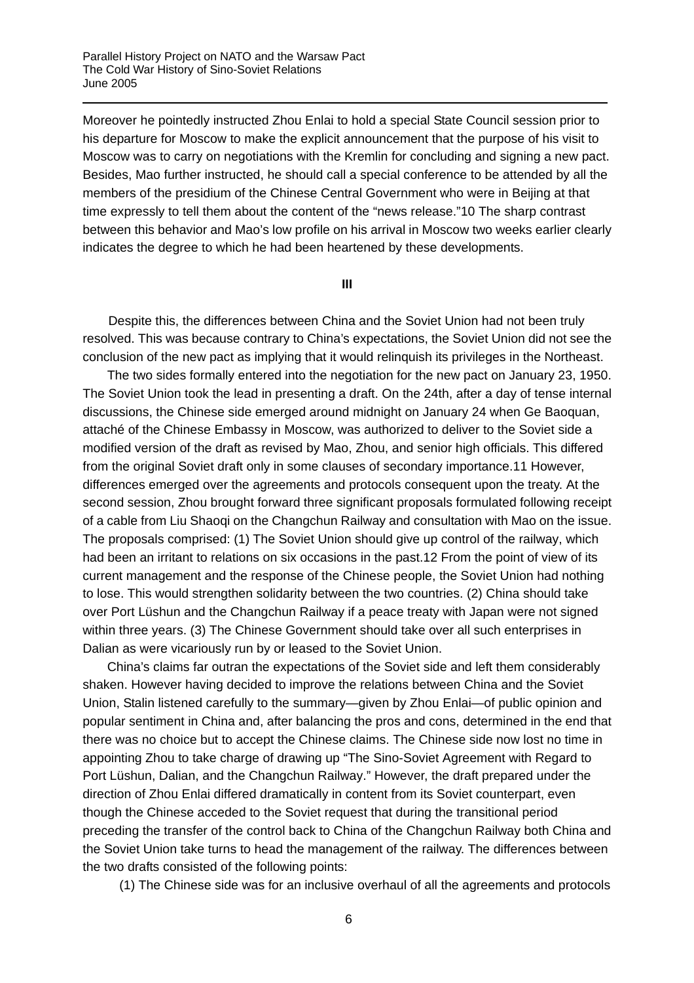Moreover he pointedly instructed Zhou Enlai to hold a special State Council session prior to his departure for Moscow to make the explicit announcement that the purpose of his visit to Moscow was to carry on negotiations with the Kremlin for concluding and signing a new pact. Besides, Mao further instructed, he should call a special conference to be attended by all the members of the presidium of the Chinese Central Government who were in Beijing at that time expressly to tell them about the content of the "news release.["10](#page-11-7) The sharp contrast between this behavior and Mao's low profile on his arrival in Moscow two weeks earlier clearly indicates the degree to which he had been heartened by these developments.

**III** 

Despite this, the differences between China and the Soviet Union had not been truly resolved. This was because contrary to China's expectations, the Soviet Union did not see the conclusion of the new pact as implying that it would relinquish its privileges in the Northeast.

The two sides formally entered into the negotiation for the new pact on January 23, 1950. The Soviet Union took the lead in presenting a draft. On the 24th, after a day of tense internal discussions, the Chinese side emerged around midnight on January 24 when Ge Baoquan, attaché of the Chinese Embassy in Moscow, was authorized to deliver to the Soviet side a modified version of the draft as revised by Mao, Zhou, and senior high officials. This differed from the original Soviet draft only in some clauses of secondary importance.[11](#page-11-8) However, differences emerged over the agreements and protocols consequent upon the treaty. At the second session, Zhou brought forward three significant proposals formulated following receipt of a cable from Liu Shaoqi on the Changchun Railway and consultation with Mao on the issue. The proposals comprised: (1) The Soviet Union should give up control of the railway, which had been an irritant to relations on six occasions in the past.[12](#page-11-9) From the point of view of its current management and the response of the Chinese people, the Soviet Union had nothing to lose. This would strengthen solidarity between the two countries. (2) China should take over Port Lüshun and the Changchun Railway if a peace treaty with Japan were not signed within three years. (3) The Chinese Government should take over all such enterprises in Dalian as were vicariously run by or leased to the Soviet Union.

China's claims far outran the expectations of the Soviet side and left them considerably shaken. However having decided to improve the relations between China and the Soviet Union, Stalin listened carefully to the summary—given by Zhou Enlai—of public opinion and popular sentiment in China and, after balancing the pros and cons, determined in the end that there was no choice but to accept the Chinese claims. The Chinese side now lost no time in appointing Zhou to take charge of drawing up "The Sino-Soviet Agreement with Regard to Port Lüshun, Dalian, and the Changchun Railway." However, the draft prepared under the direction of Zhou Enlai differed dramatically in content from its Soviet counterpart, even though the Chinese acceded to the Soviet request that during the transitional period preceding the transfer of the control back to China of the Changchun Railway both China and the Soviet Union take turns to head the management of the railway. The differences between the two drafts consisted of the following points:

(1) The Chinese side was for an inclusive overhaul of all the agreements and protocols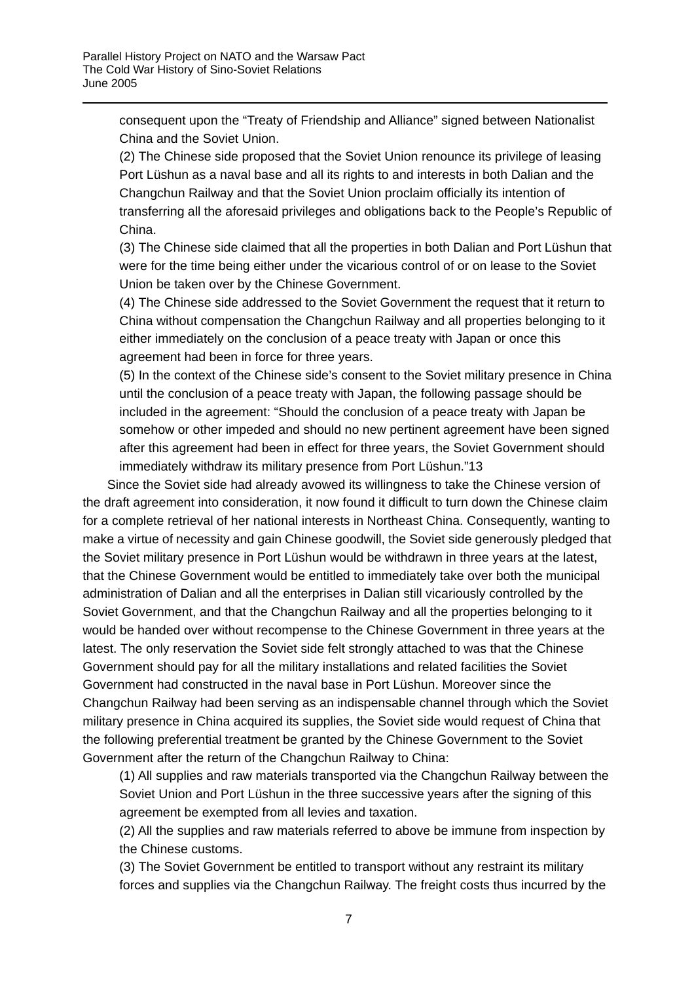consequent upon the "Treaty of Friendship and Alliance" signed between Nationalist China and the Soviet Union.

(2) The Chinese side proposed that the Soviet Union renounce its privilege of leasing Port Lüshun as a naval base and all its rights to and interests in both Dalian and the Changchun Railway and that the Soviet Union proclaim officially its intention of transferring all the aforesaid privileges and obligations back to the People's Republic of China.

(3) The Chinese side claimed that all the properties in both Dalian and Port Lüshun that were for the time being either under the vicarious control of or on lease to the Soviet Union be taken over by the Chinese Government.

(4) The Chinese side addressed to the Soviet Government the request that it return to China without compensation the Changchun Railway and all properties belonging to it either immediately on the conclusion of a peace treaty with Japan or once this agreement had been in force for three years.

(5) In the context of the Chinese side's consent to the Soviet military presence in China until the conclusion of a peace treaty with Japan, the following passage should be included in the agreement: "Should the conclusion of a peace treaty with Japan be somehow or other impeded and should no new pertinent agreement have been signed after this agreement had been in effect for three years, the Soviet Government should immediately withdraw its military presence from Port Lüshun."[13](#page-11-8)

Since the Soviet side had already avowed its willingness to take the Chinese version of the draft agreement into consideration, it now found it difficult to turn down the Chinese claim for a complete retrieval of her national interests in Northeast China. Consequently, wanting to make a virtue of necessity and gain Chinese goodwill, the Soviet side generously pledged that the Soviet military presence in Port Lüshun would be withdrawn in three years at the latest, that the Chinese Government would be entitled to immediately take over both the municipal administration of Dalian and all the enterprises in Dalian still vicariously controlled by the Soviet Government, and that the Changchun Railway and all the properties belonging to it would be handed over without recompense to the Chinese Government in three years at the latest. The only reservation the Soviet side felt strongly attached to was that the Chinese Government should pay for all the military installations and related facilities the Soviet Government had constructed in the naval base in Port Lüshun. Moreover since the Changchun Railway had been serving as an indispensable channel through which the Soviet military presence in China acquired its supplies, the Soviet side would request of China that the following preferential treatment be granted by the Chinese Government to the Soviet Government after the return of the Changchun Railway to China:

(1) All supplies and raw materials transported via the Changchun Railway between the Soviet Union and Port Lüshun in the three successive years after the signing of this agreement be exempted from all levies and taxation.

(2) All the supplies and raw materials referred to above be immune from inspection by the Chinese customs.

(3) The Soviet Government be entitled to transport without any restraint its military forces and supplies via the Changchun Railway. The freight costs thus incurred by the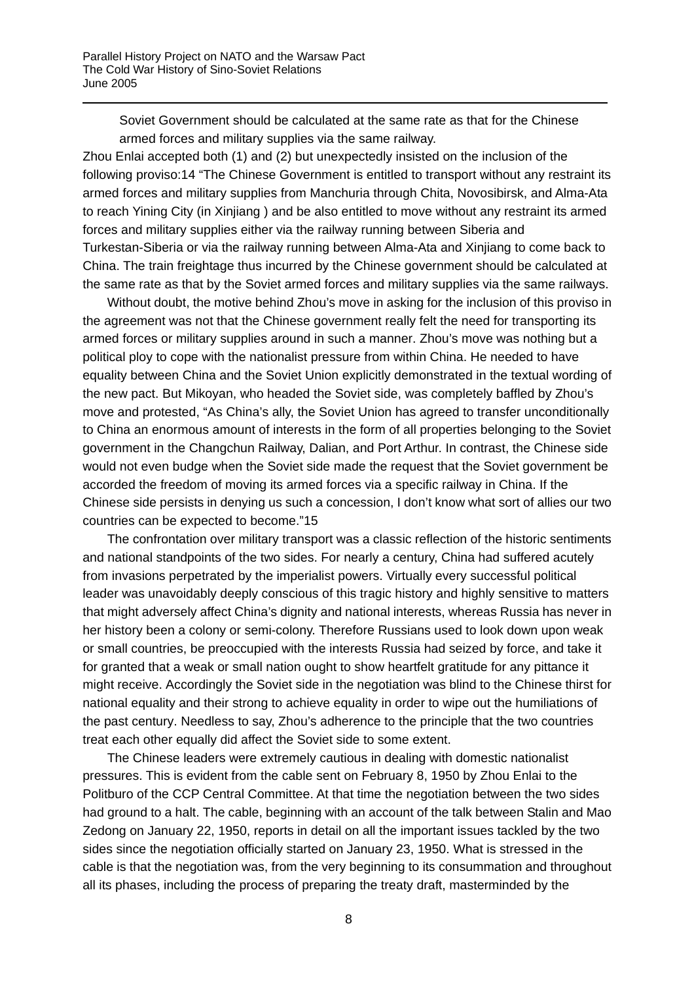Soviet Government should be calculated at the same rate as that for the Chinese armed forces and military supplies via the same railway.

Zhou Enlai accepted both (1) and (2) but unexpectedly insisted on the inclusion of the following proviso[:14](#page-11-10) "The Chinese Government is entitled to transport without any restraint its armed forces and military supplies from Manchuria through Chita, Novosibirsk, and Alma-Ata to reach Yining City (in Xinjiang ) and be also entitled to move without any restraint its armed forces and military supplies either via the railway running between Siberia and Turkestan-Siberia or via the railway running between Alma-Ata and Xinjiang to come back to China. The train freightage thus incurred by the Chinese government should be calculated at the same rate as that by the Soviet armed forces and military supplies via the same railways.

Without doubt, the motive behind Zhou's move in asking for the inclusion of this proviso in the agreement was not that the Chinese government really felt the need for transporting its armed forces or military supplies around in such a manner. Zhou's move was nothing but a political ploy to cope with the nationalist pressure from within China. He needed to have equality between China and the Soviet Union explicitly demonstrated in the textual wording of the new pact. But Mikoyan, who headed the Soviet side, was completely baffled by Zhou's move and protested, "As China's ally, the Soviet Union has agreed to transfer unconditionally to China an enormous amount of interests in the form of all properties belonging to the Soviet government in the Changchun Railway, Dalian, and Port Arthur. In contrast, the Chinese side would not even budge when the Soviet side made the request that the Soviet government be accorded the freedom of moving its armed forces via a specific railway in China. If the Chinese side persists in denying us such a concession, I don't know what sort of allies our two countries can be expected to become."[15](#page-11-11)

The confrontation over military transport was a classic reflection of the historic sentiments and national standpoints of the two sides. For nearly a century, China had suffered acutely from invasions perpetrated by the imperialist powers. Virtually every successful political leader was unavoidably deeply conscious of this tragic history and highly sensitive to matters that might adversely affect China's dignity and national interests, whereas Russia has never in her history been a colony or semi-colony. Therefore Russians used to look down upon weak or small countries, be preoccupied with the interests Russia had seized by force, and take it for granted that a weak or small nation ought to show heartfelt gratitude for any pittance it might receive. Accordingly the Soviet side in the negotiation was blind to the Chinese thirst for national equality and their strong to achieve equality in order to wipe out the humiliations of the past century. Needless to say, Zhou's adherence to the principle that the two countries treat each other equally did affect the Soviet side to some extent.

The Chinese leaders were extremely cautious in dealing with domestic nationalist pressures. This is evident from the cable sent on February 8, 1950 by Zhou Enlai to the Politburo of the CCP Central Committee. At that time the negotiation between the two sides had ground to a halt. The cable, beginning with an account of the talk between Stalin and Mao Zedong on January 22, 1950, reports in detail on all the important issues tackled by the two sides since the negotiation officially started on January 23, 1950. What is stressed in the cable is that the negotiation was, from the very beginning to its consummation and throughout all its phases, including the process of preparing the treaty draft, masterminded by the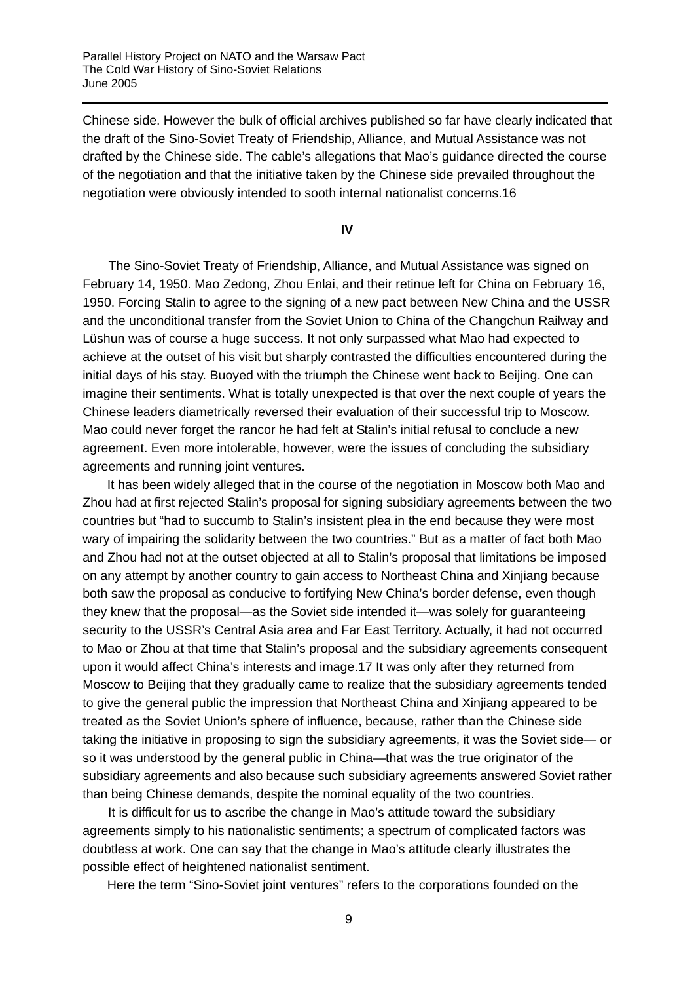Chinese side. However the bulk of official archives published so far have clearly indicated that the draft of the Sino-Soviet Treaty of Friendship, Alliance, and Mutual Assistance was not drafted by the Chinese side. The cable's allegations that Mao's guidance directed the course of the negotiation and that the initiative taken by the Chinese side prevailed throughout the negotiation were obviously intended to sooth internal nationalist concerns.[16](#page-11-12)

## **IV**

The Sino-Soviet Treaty of Friendship, Alliance, and Mutual Assistance was signed on February 14, 1950. Mao Zedong, Zhou Enlai, and their retinue left for China on February 16, 1950. Forcing Stalin to agree to the signing of a new pact between New China and the USSR and the unconditional transfer from the Soviet Union to China of the Changchun Railway and Lüshun was of course a huge success. It not only surpassed what Mao had expected to achieve at the outset of his visit but sharply contrasted the difficulties encountered during the initial days of his stay. Buoyed with the triumph the Chinese went back to Beijing. One can imagine their sentiments. What is totally unexpected is that over the next couple of years the Chinese leaders diametrically reversed their evaluation of their successful trip to Moscow. Mao could never forget the rancor he had felt at Stalin's initial refusal to conclude a new agreement. Even more intolerable, however, were the issues of concluding the subsidiary agreements and running joint ventures.

It has been widely alleged that in the course of the negotiation in Moscow both Mao and Zhou had at first rejected Stalin's proposal for signing subsidiary agreements between the two countries but "had to succumb to Stalin's insistent plea in the end because they were most wary of impairing the solidarity between the two countries." But as a matter of fact both Mao and Zhou had not at the outset objected at all to Stalin's proposal that limitations be imposed on any attempt by another country to gain access to Northeast China and Xinjiang because both saw the proposal as conducive to fortifying New China's border defense, even though they knew that the proposal—as the Soviet side intended it—was solely for guaranteeing security to the USSR's Central Asia area and Far East Territory. Actually, it had not occurred to Mao or Zhou at that time that Stalin's proposal and the subsidiary agreements consequent upon it would affect China's interests and image.[17](#page-11-13) It was only after they returned from Moscow to Beijing that they gradually came to realize that the subsidiary agreements tended to give the general public the impression that Northeast China and Xinjiang appeared to be treated as the Soviet Union's sphere of influence, because, rather than the Chinese side taking the initiative in proposing to sign the subsidiary agreements, it was the Soviet side— or so it was understood by the general public in China—that was the true originator of the subsidiary agreements and also because such subsidiary agreements answered Soviet rather than being Chinese demands, despite the nominal equality of the two countries.

It is difficult for us to ascribe the change in Mao's attitude toward the subsidiary agreements simply to his nationalistic sentiments; a spectrum of complicated factors was doubtless at work. One can say that the change in Mao's attitude clearly illustrates the possible effect of heightened nationalist sentiment.

Here the term "Sino-Soviet joint ventures" refers to the corporations founded on the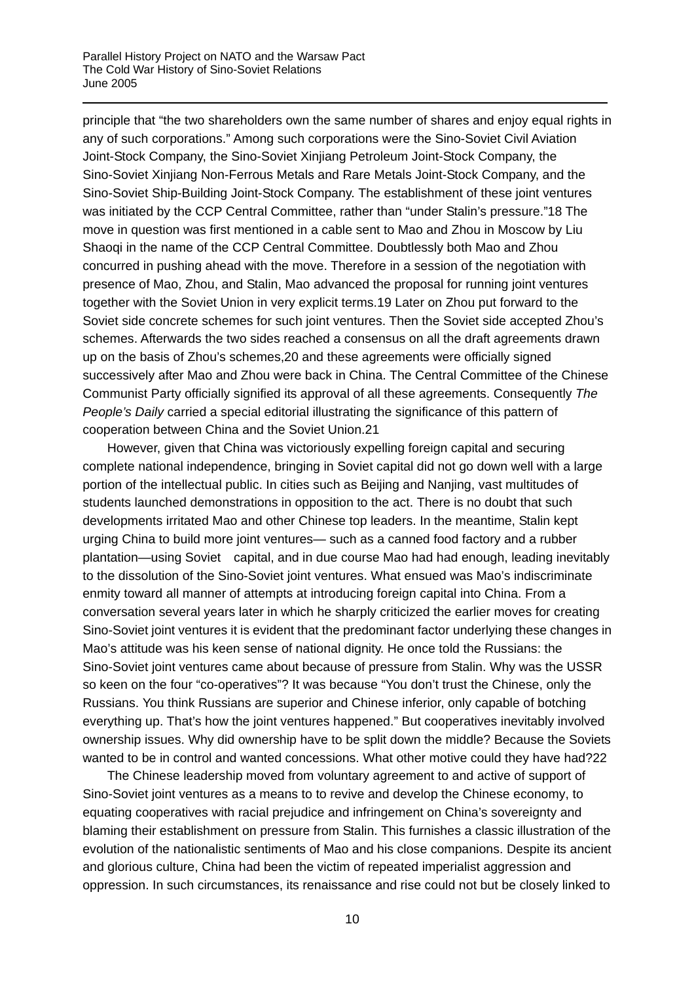principle that "the two shareholders own the same number of shares and enjoy equal rights in any of such corporations." Among such corporations were the Sino-Soviet Civil Aviation Joint-Stock Company, the Sino-Soviet Xinjiang Petroleum Joint-Stock Company, the Sino-Soviet Xinjiang Non-Ferrous Metals and Rare Metals Joint-Stock Company, and the Sino-Soviet Ship-Building Joint-Stock Company. The establishment of these joint ventures was initiated by the CCP Central Committee, rather than "under Stalin's pressure."[18](#page-11-7) The move in question was first mentioned in a cable sent to Mao and Zhou in Moscow by Liu Shaoqi in the name of the CCP Central Committee. Doubtlessly both Mao and Zhou concurred in pushing ahead with the move. Therefore in a session of the negotiation with presence of Mao, Zhou, and Stalin, Mao advanced the proposal for running joint ventures together with the Soviet Union in very explicit terms.[19](#page-11-14) Later on Zhou put forward to the Soviet side concrete schemes for such joint ventures. Then the Soviet side accepted Zhou's schemes. Afterwards the two sides reached a consensus on all the draft agreements drawn up on the basis of Zhou's schemes,[20](#page-11-15) and these agreements were officially signed successively after Mao and Zhou were back in China. The Central Committee of the Chinese Communist Party officially signified its approval of all these agreements. Consequently *The People's Daily* carried a special editorial illustrating the significance of this pattern of cooperation between China and the Soviet Union.[21](#page-11-16) 

However, given that China was victoriously expelling foreign capital and securing complete national independence, bringing in Soviet capital did not go down well with a large portion of the intellectual public. In cities such as Beijing and Nanjing, vast multitudes of students launched demonstrations in opposition to the act. There is no doubt that such developments irritated Mao and other Chinese top leaders. In the meantime, Stalin kept urging China to build more joint ventures— such as a canned food factory and a rubber plantation—using Soviet capital, and in due course Mao had had enough, leading inevitably to the dissolution of the Sino-Soviet joint ventures. What ensued was Mao's indiscriminate enmity toward all manner of attempts at introducing foreign capital into China. From a conversation several years later in which he sharply criticized the earlier moves for creating Sino-Soviet joint ventures it is evident that the predominant factor underlying these changes in Mao's attitude was his keen sense of national dignity. He once told the Russians: the Sino-Soviet joint ventures came about because of pressure from Stalin. Why was the USSR so keen on the four "co-operatives"? It was because "You don't trust the Chinese, only the Russians. You think Russians are superior and Chinese inferior, only capable of botching everything up. That's how the joint ventures happened." But cooperatives inevitably involved ownership issues. Why did ownership have to be split down the middle? Because the Soviets wanted to be in control and wanted concessions. What other motive could they have had?[22](#page-11-17)

The Chinese leadership moved from voluntary agreement to and active of support of Sino-Soviet joint ventures as a means to to revive and develop the Chinese economy, to equating cooperatives with racial prejudice and infringement on China's sovereignty and blaming their establishment on pressure from Stalin. This furnishes a classic illustration of the evolution of the nationalistic sentiments of Mao and his close companions. Despite its ancient and glorious culture, China had been the victim of repeated imperialist aggression and oppression. In such circumstances, its renaissance and rise could not but be closely linked to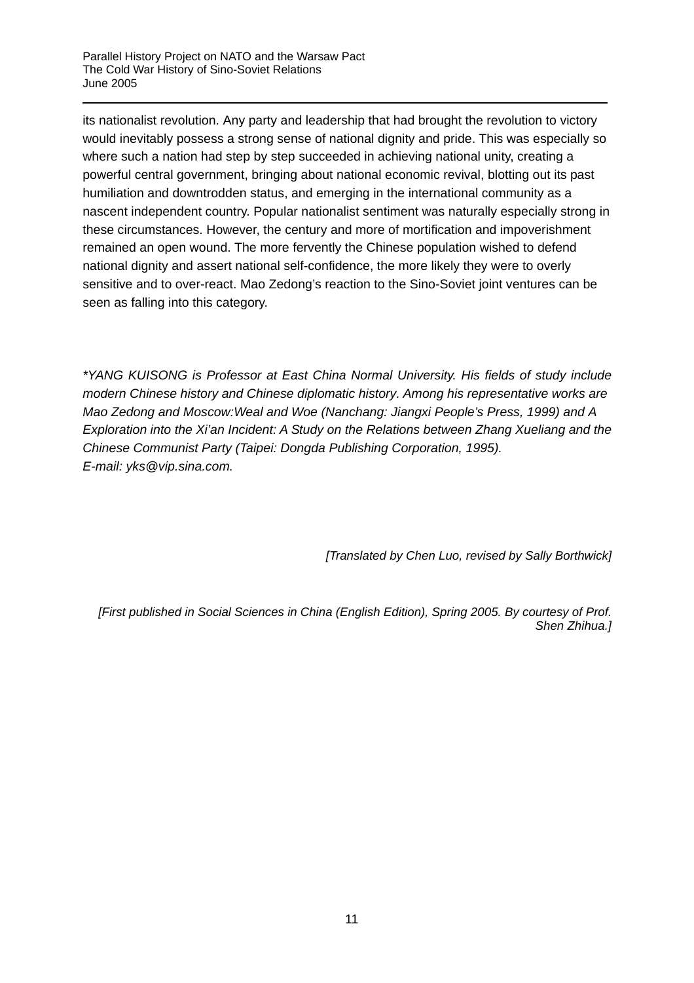its nationalist revolution. Any party and leadership that had brought the revolution to victory would inevitably possess a strong sense of national dignity and pride. This was especially so where such a nation had step by step succeeded in achieving national unity, creating a powerful central government, bringing about national economic revival, blotting out its past humiliation and downtrodden status, and emerging in the international community as a nascent independent country. Popular nationalist sentiment was naturally especially strong in these circumstances. However, the century and more of mortification and impoverishment remained an open wound. The more fervently the Chinese population wished to defend national dignity and assert national self-confidence, the more likely they were to overly sensitive and to over-react. Mao Zedong's reaction to the Sino-Soviet joint ventures can be seen as falling into this category.

*\*YANG KUISONG is Professor at East China Normal University. His fields of study include modern Chinese history and Chinese diplomatic history. Among his representative works are Mao Zedong and Moscow:Weal and Woe (Nanchang: Jiangxi People's Press, 1999) and A Exploration into the Xi'an Incident: A Study on the Relations between Zhang Xueliang and the Chinese Communist Party (Taipei: Dongda Publishing Corporation, 1995). E-mail: yks@vip.sina.com.*

*[Translated by Chen Luo, revised by Sally Borthwick]* 

*[First published in Social Sciences in China (English Edition), Spring 2005. By courtesy of Prof. Shen Zhihua.]*